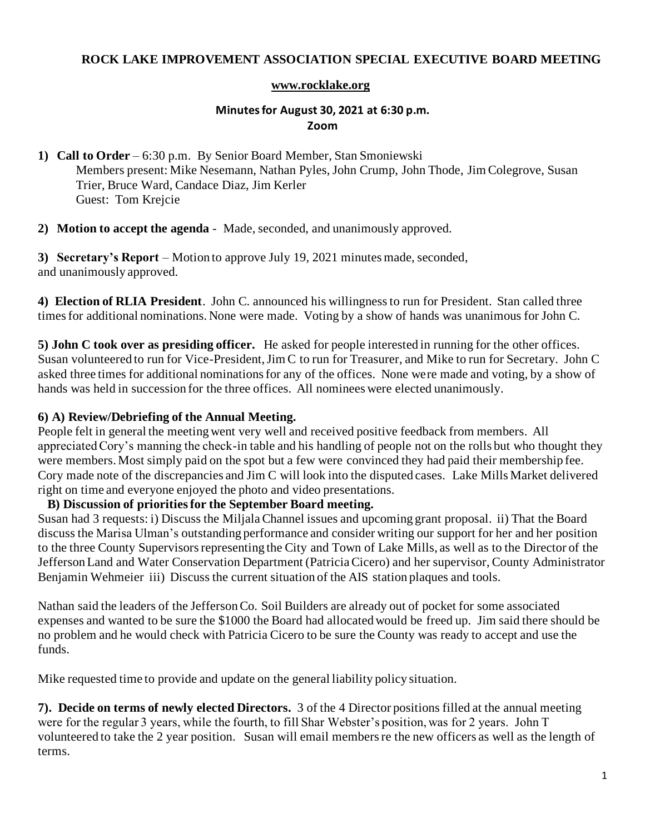# **ROCK LAKE IMPROVEMENT ASSOCIATION SPECIAL EXECUTIVE BOARD MEETING**

### **[www.rocklake.org](http://www.rocklake.org/)**

# **Minutes for August 30, 2021 at 6:30 p.m. Zoom**

**1) Call to Order** – 6:30 p.m. By Senior Board Member, Stan Smoniewski Members present: Mike Nesemann, Nathan Pyles, John Crump, John Thode, Jim Colegrove, Susan Trier, Bruce Ward, Candace Diaz, Jim Kerler Guest: Tom Krejcie

**2) Motion to accept the agenda** - Made, seconded, and unanimously approved.

**3) Secretary's Report** – Motion to approve July 19, 2021 minutes made, seconded, and unanimously approved.

**4) Election of RLIA President**. John C. announced his willingness to run for President. Stan called three times for additional nominations. None were made. Voting by a show of hands was unanimous for John C.

**5) John C took over as presiding officer.** He asked for people interested in running for the other offices. Susan volunteered to run for Vice-President, Jim C to run for Treasurer, and Mike to run for Secretary. John C asked three times for additional nominations for any of the offices. None were made and voting, by a show of hands was held in succession for the three offices. All nominees were elected unanimously.

# **6) A) Review/Debriefing of the Annual Meeting.**

People felt in general the meeting went very well and received positive feedback from members. All appreciated Cory's manning the check-in table and his handling of people not on the rolls but who thought they were members. Most simply paid on the spot but a few were convinced they had paid their membership fee. Cory made note of the discrepancies and Jim C will look into the disputed cases. Lake Mills Market delivered right on time and everyone enjoyed the photo and video presentations.

### **B) Discussion of priorities for the September Board meeting.**

Susan had 3 requests: i) Discuss the Miljala Channel issues and upcoming grant proposal. ii) That the Board discuss the Marisa Ulman's outstanding performance and consider writing our support for her and her position to the three County Supervisors representing the City and Town of Lake Mills, as well as to the Director of the Jefferson Land and Water Conservation Department (Patricia Cicero) and her supervisor, County Administrator Benjamin Wehmeier iii) Discuss the current situation of the AIS station plaques and tools.

Nathan said the leaders of the Jefferson Co. Soil Builders are already out of pocket for some associated expenses and wanted to be sure the \$1000 the Board had allocated would be freed up. Jim said there should be no problem and he would check with Patricia Cicero to be sure the County was ready to accept and use the funds.

Mike requested time to provide and update on the general liability policy situation.

**7). Decide on terms of newly elected Directors.** 3 of the 4 Director positions filled at the annual meeting were for the regular 3 years, while the fourth, to fill Shar Webster's position, was for 2 years. John T volunteered to take the 2 year position. Susan will email members re the new officers as well as the length of terms.